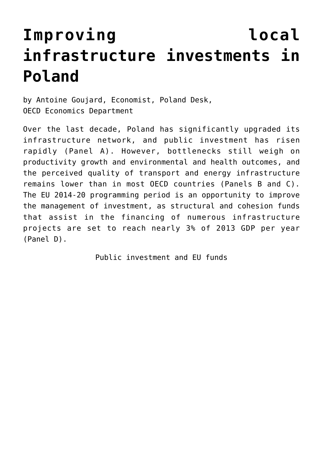# **[Improving local](https://oecdecoscope.blog/2016/04/21/improving-local-infrastructure-investments-in-poland/) [infrastructure investments in](https://oecdecoscope.blog/2016/04/21/improving-local-infrastructure-investments-in-poland/) [Poland](https://oecdecoscope.blog/2016/04/21/improving-local-infrastructure-investments-in-poland/)**

by Antoine Goujard, Economist, Poland Desk, OECD Economics Department

Over the last decade, Poland has significantly upgraded its infrastructure network, and public investment has risen rapidly (Panel A). However, bottlenecks still weigh on productivity growth and environmental and health outcomes, and the perceived quality of transport and energy infrastructure remains lower than in most OECD countries (Panels B and C). The EU 2014-20 programming period is an opportunity to improve the management of investment, as structural and cohesion funds that assist in the financing of numerous infrastructure projects are set to reach nearly 3% of 2013 GDP per year (Panel D).

Public investment and EU funds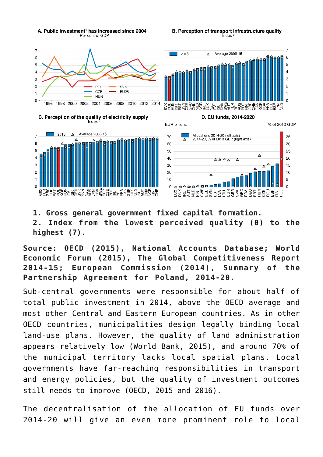

**1. Gross general government fixed capital formation. 2. Index from the lowest perceived quality (0) to the highest (7).**

**Source: OECD (2015), National Accounts Database; World Economic Forum (2015), The Global Competitiveness Report 2014-15; European Commission (2014), Summary of the Partnership Agreement for Poland, 2014-20.**

Sub-central governments were responsible for about half of total public investment in 2014, above the OECD average and most other Central and Eastern European countries. As in other OECD countries, municipalities design legally binding local land-use plans. However, the quality of land administration appears relatively low (World Bank, 2015), and around 70% of the municipal territory lacks local spatial plans. Local governments have far-reaching responsibilities in transport and energy policies, but the quality of investment outcomes still needs to improve (OECD, 2015 and 2016).

The decentralisation of the allocation of EU funds over 2014-20 will give an even more prominent role to local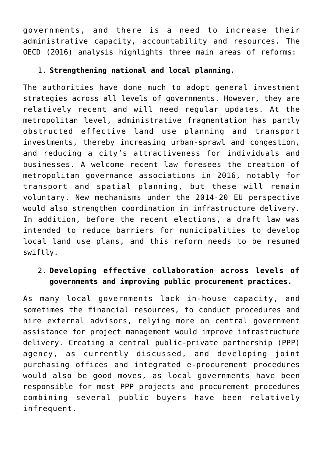governments, and there is a need to increase their administrative capacity, accountability and resources. The OECD (2016) analysis highlights three main areas of reforms:

### 1. **Strengthening national and local planning.**

The authorities have done much to adopt general investment strategies across all levels of governments. However, they are relatively recent and will need regular updates. At the metropolitan level, administrative fragmentation has partly obstructed effective land use planning and transport investments, thereby increasing urban-sprawl and congestion, and reducing a city's attractiveness for individuals and businesses. A welcome recent law foresees the creation of metropolitan governance associations in 2016, notably for transport and spatial planning, but these will remain voluntary. New mechanisms under the 2014-20 EU perspective would also strengthen coordination in infrastructure delivery. In addition, before the recent elections, a draft law was intended to reduce barriers for municipalities to develop local land use plans, and this reform needs to be resumed swiftly.

## 2. **Developing effective collaboration across levels of governments and improving public procurement practices.**

As many local governments lack in-house capacity, and sometimes the financial resources, to conduct procedures and hire external advisors, relying more on central government assistance for project management would improve infrastructure delivery. Creating a central public-private partnership (PPP) agency, as currently discussed, and developing joint purchasing offices and integrated e-procurement procedures would also be good moves, as local governments have been responsible for most PPP projects and procurement procedures combining several public buyers have been relatively infrequent.